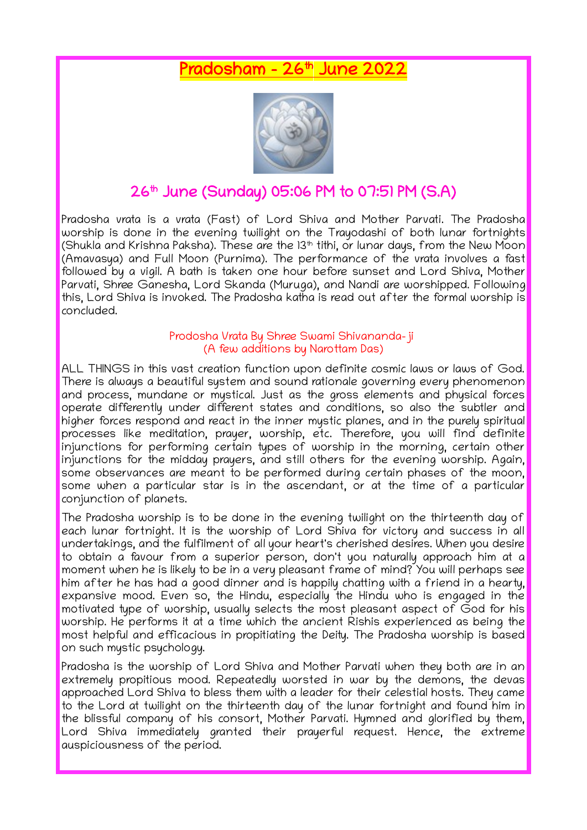## <u>Pradosham – 26<sup>th</sup> June 2022</u>



## 26<sup>th</sup> June (Sunday) 05:06 PM to 07:51 PM (S.A)

Pradosha vrata is a vrata (Fast) of Lord Shiva and Mother Parvati. The Pradosha worship is done in the evening twilight on the Trayodashi of both lunar fortnights (Shukla and Krishna Paksha). These are the 13<sup>th</sup> tithi, or lunar days, from the New Moon (Amavasya) and Full Moon (Purnima). The performance of the vrata involves a fast followed by a vigil. A bath is taken one hour before sunset and Lord Shiva, Mother Parvati, Shree Ganesha, Lord Skanda (Muruga), and Nandi are worshipped. Following this, Lord Shiva is invoked. The Pradosha katha is read out after the formal worship is concluded.

## Prodosha Vrata By Shree Swami Shivananda-ji (A few additions by Narottam Das)

ALL THINGS in this vast creation function upon definite cosmic laws or laws of God. There is always a beautiful system and sound rationale governing every phenomenon and process, mundane or mystical. Just as the gross elements and physical forces operate differently under different states and conditions, so also the subtler and higher forces respond and react in the inner mystic planes, and in the purely spiritual processes like meditation, prayer, worship, etc. Therefore, you will find definite injunctions for performing certain types of worship in the morning, certain other injunctions for the midday prayers, and still others for the evening worship. Again, some observances are meant to be performed during certain phases of the moon, some when a particular star is in the ascendant, or at the time of a particular conjunction of planets.

The Pradosha worship is to be done in the evening twilight on the thirteenth day of each lunar fortnight. It is the worship of Lord Shiva for victory and success in all undertakings, and the fulfilment of all your heart's cherished desires. When you desire to obtain a favour from a superior person, don't you naturally approach him at a moment when he is likely to be in a very pleasant frame of mind? You will perhaps see him after he has had a good dinner and is happily chatting with a friend in a hearty, expansive mood. Even so, the Hindu, especially the Hindu who is engaged in the motivated type of worship, usually selects the most pleasant aspect of God for his worship. He performs it at a time which the ancient Rishis experienced as being the most helpful and efficacious in propitiating the Deity. The Pradosha worship is based on such mystic psychology.

Pradosha is the worship of Lord Shiva and Mother Parvati when they both are in an extremely propitious mood. Repeatedly worsted in war by the demons, the devas approached Lord Shiva to bless them with a leader for their celestial hosts. They came to the Lord at twilight on the thirteenth day of the lunar fortnight and found him in the blissful company of his consort, Mother Parvati. Hymned and glorified by them, Lord Shiva immediately granted their prayerful request. Hence, the extreme auspiciousness of the period.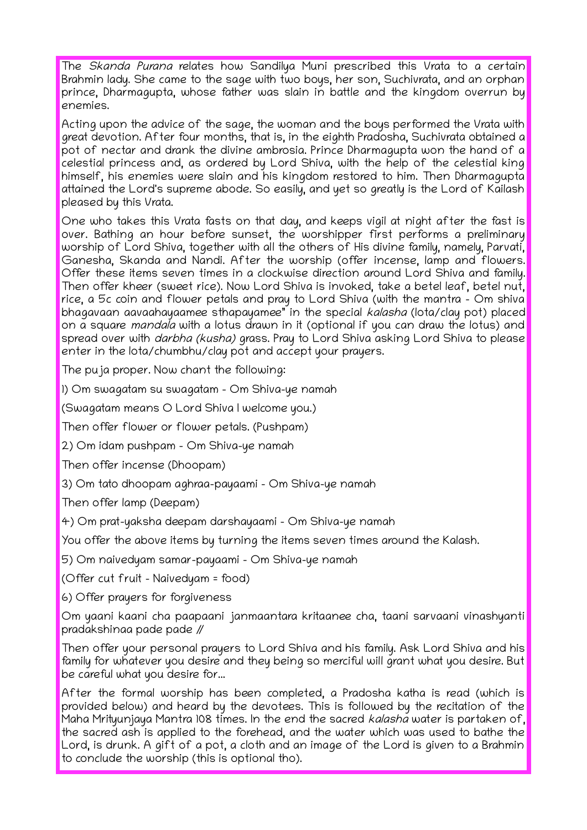The Skanda Purana relates how Sandilya Muni prescribed this Vrata to a certain Brahmin lady. She came to the sage with two boys, her son, Suchivrata, and an orphan prince, Dharmagupta, whose father was slain in battle and the kingdom overrun by enemies.

Acting upon the advice of the sage, the woman and the boys performed the Vrata with great devotion. After four months, that is, in the eighth Pradosha, Suchivrata obtained a pot of nectar and drank the divine ambrosia. Prince Dharmagupta won the hand of a celestial princess and, as ordered by Lord Shiva, with the help of the celestial king himself, his enemies were slain and his kingdom restored to him. Then Dharmagupta attained the Lord's supreme abode. So easily, and yet so greatly is the Lord of Kailash pleased by this Vrata.

One who takes this Vrata fasts on that day, and keeps vigil at night after the fast is over. Bathing an hour before sunset, the worshipper first performs a preliminary worship of Lord Shiva, together with all the others of His divine family, namely, Parvati, Ganesha, Skanda and Nandi. After the worship (offer incense, lamp and flowers. Offer these items seven times in a clockwise direction around Lord Shiva and family. Then offer kheer (sweet rice). Now Lord Shiva is invoked, take a betel leaf, betel nut, rice, a 5c coin and flower petals and pray to Lord Shiva (with the mantra – Om shiva bhagavaan aavaahayaamee sthapayamee" in the special kalasha (lota/clay pot) placed on a square *mandala* with a lotus drawn in it (optional if you can draw the lotus) and spread over with *darbha (kusha)* grass. Pray to Lord Shiva asking Lord Shiva to please enter in the lota/chumbhu/clay pot and accept your prayers.

The puja proper. Now chant the following:

1) Om swagatam su swagatam - Om Shiva-ye namah

(Swagatam means O Lord Shiva I welcome you.)

Then offer flower or flower petals. (Pushpam)

2) Om idam pushpam – Om Shiva-ye namah

Then offer incense (Dhoopam)

3) Om tato dhoopam aghraa-payaami – Om Shiva-ye namah

Then offer lamp (Deepam)

4) Om prat-yaksha deepam darshayaami – Om Shiva-ye namah

You offer the above items by turning the items seven times around the Kalash.

5) Om naivedyam samar-payaami – Om Shiva-ye namah

(Offer cut fruit - Naivedyam = food)

6) Offer prayers for forgiveness

Om yaani kaani cha paapaani janmaantara kritaanee cha, taani sarvaani vinashyanti pradakshinaa pade pade //

Then offer your personal prayers to Lord Shiva and his family. Ask Lord Shiva and his family for whatever you desire and they being so merciful will grant what you desire. But be careful what you desire for...

After the formal worship has been completed, a Pradosha katha is read (which is provided below) and heard by the devotees. This is followed by the recitation of the Maha Mrityunjaya Mantra 108 times. In the end the sacred *kalasha* water is partaken of. the sacred ash is applied to the forehead, and the water which was used to bathe the Lord, is drunk. A gift of a pot, a cloth and an image of the Lord is given to a Brahmin to conclude the worship (this is optional tho).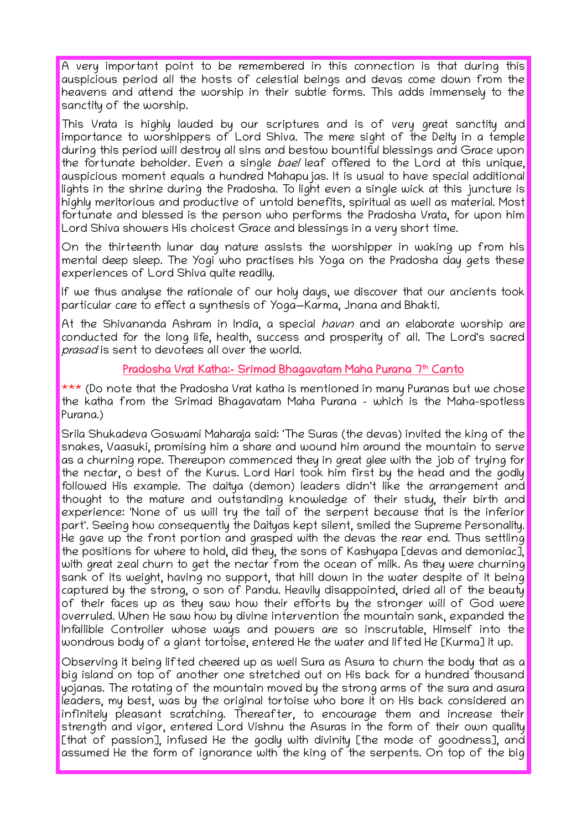A very important point to be remembered in this connection is that during this auspicious period all the hosts of celestial beings and devas come down from the heavens and attend the worship in their subtle forms. This adds immensely to the sanctity of the worship.

This Vrata is highly lauded by our scriptures and is of very great sanctity and importance to worshippers of Lord Shiva. The mere sight of the Deity in a temple during this period will destroy all sins and bestow bountiful blessings and Grace upon the fortunate beholder. Even a single bael leaf offered to the Lord at this unique, auspicious moment equals a hundred Mahapujas. It is usual to have special additional lights in the shrine during the Pradosha. To light even a single wick at this juncture is highly meritorious and productive of untold benefits, spiritual as well as material. Most fortunate and blessed is the person who performs the Pradosha Vrata, for upon him Lord Shiva showers His choicest Grace and blessings in a very short time.

On the thirteenth lunar day nature assists the worshipper in waking up from his mental deep sleep. The Yogi who practises his Yoga on the Pradosha day gets these experiences of Lord Shiva quite readily.

If we thus analyse the rationale of our holy days, we discover that our ancients took particular care to effect a synthesis of Yoga—Karma, Jnana and Bhakti.

At the Shivananda Ashram in India, a special havan and an elaborate worship are conducted for the long life, health, success and prosperity of all. The Lord's sacred prasad is sent to devotees all over the world.

## <u>Pradosha Vrat Katha:- Srimad Bhagavatam Maha Purana 7<sup>th</sup> Canto</u>

\*\*\* (Do note that the Pradosha Vrat katha is mentioned in many Puranas but we chose the katha from the Srimad Bhagavatam Maha Purana – which is the Maha-spotless Purana.)

Srila Shukadeva Goswami Maharaja said: 'The Suras (the devas) invited the king of the snakes, Vaasuki, promising him a share and wound him around the mountain to serve as a churning rope. Thereupon commenced they in great glee with the job of trying for the nectar, o best of the Kurus. Lord Hari took him first by the head and the godly followed His example. The daitya (demon) leaders didn't like the arrangement and thought to the mature and outstanding knowledge of their study, their birth and experience: 'None of us will try the tail of the serpent because that is the inferior part'. Seeing how consequently the Daityas kept silent, smiled the Supreme Personality. He gave up the front portion and grasped with the devas the rear end. Thus settling the positions for where to hold, did they, the sons of Kashyapa [devas and demoniac], with great zeal churn to get the nectar from the ocean of milk. As they were churning sank of its weight, having no support, that hill down in the water despite of it being captured by the strong, o son of Pandu. Heavily disappointed, dried all of the beauty of their faces up as they saw how their efforts by the stronger will of God were overruled. When He saw how by divine intervention the mountain sank, expanded the Infallible Controller whose ways and powers are so inscrutable, Himself into the wondrous body of a giant tortoise, entered He the water and lifted He [Kurma] it up.

Observing it being lifted cheered up as well Sura as Asura to churn the body that as a big island on top of another one stretched out on His back for a hundred thousand yojanas. The rotating of the mountain moved by the strong arms of the sura and asura leaders, my best, was by the original tortoise who bore it on His back considered an infinitely pleasant scratching. Thereafter, to encourage them and increase their strength and vigor, entered Lord Vishnu the Asuras in the form of their own quality [that of passion], infused He the godly with divinity [the mode of goodness], and assumed He the form of ignorance with the king of the serpents. On top of the big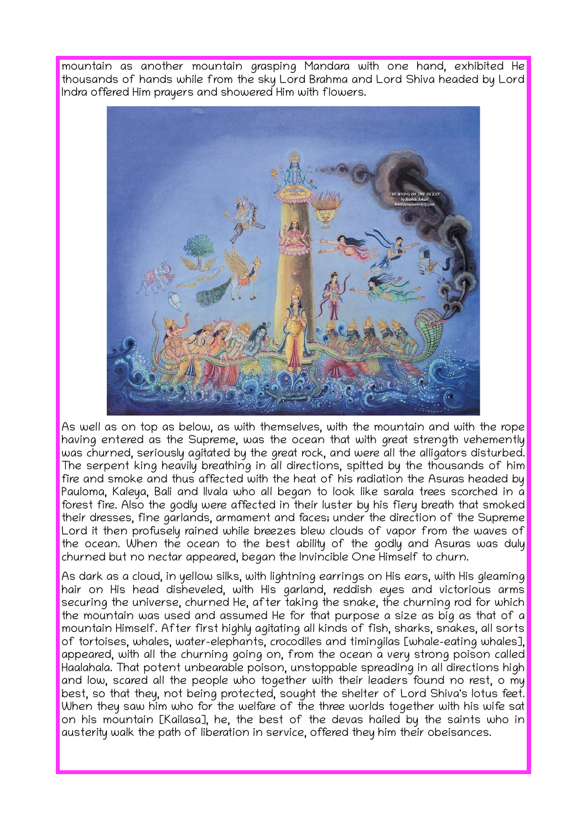mountain as another mountain grasping Mandara with one hand, exhibited He thousands of hands while from the sky Lord Brahma and Lord Shiva headed by Lord Indra offered Him prayers and showered Him with flowers.



As well as on top as below, as with themselves, with the mountain and with the rope having entered as the Supreme, was the ocean that with great strength vehemently was churned, seriously agitated by the great rock, and were all the alligators disturbed. The serpent king heavily breathing in all directions, spitted by the thousands of him fire and smoke and thus affected with the heat of his radiation the Asuras headed by Pauloma, Kaleya, Bali and Ilvala who all began to look like sarala trees scorched in a forest fire. Also the godly were affected in their luster by his fiery breath that smoked their dresses, fine garlands, armament and faces; under the direction of the Supreme Lord it then profusely rained while breezes blew clouds of vapor from the waves of the ocean. When the ocean to the best ability of the godly and Asuras was duly churned but no nectar appeared, began the Invincible One Himself to churn.

As dark as a cloud, in yellow silks, with lightning earrings on His ears, with His gleaming hair on His head disheveled, with His garland, reddish eyes and victorious arms securing the universe, churned He, after taking the snake, the churning rod for which the mountain was used and assumed He for that purpose a size as big as that of a mountain Himself. After first highly agitating all kinds of fish, sharks, snakes, all sorts of tortoises, whales, water-elephants, crocodiles and timingilas [whale-eating whales], appeared, with all the churning going on, from the ocean a very strong poison called Haalahala. That potent unbearable poison, unstoppable spreading in all directions high and low, scared all the people who together with their leaders found no rest, o my best, so that they, not being protected, sought the shelter of Lord Shiva's lotus feet. When they saw him who for the welfare of the three worlds together with his wife sat on his mountain [Kailasa], he, the best of the devas hailed by the saints who in austerity walk the path of liberation in service, offered they him their obeisances.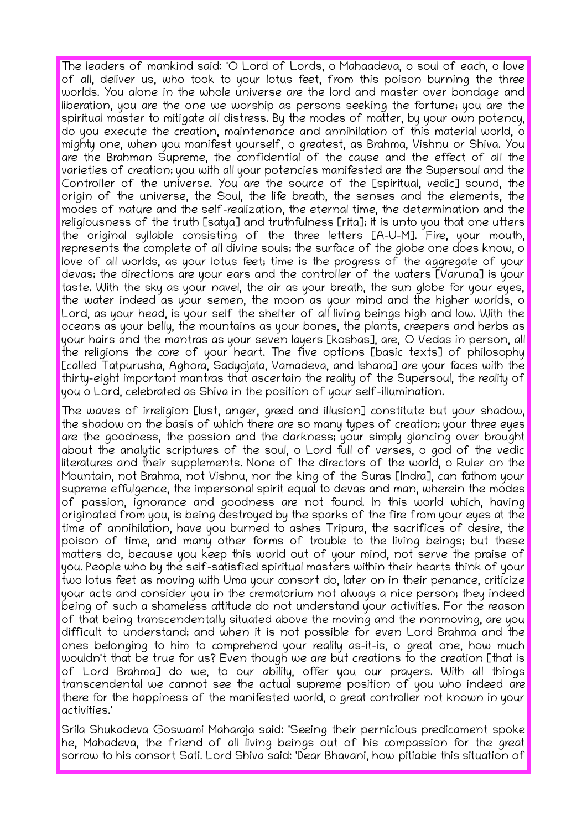The leaders of mankind said: 'O Lord of Lords, o Mahaadeva, o soul of each, o love of all, deliver us, who took to your lotus feet, from this poison burning the three worlds. You alone in the whole universe are the lord and master over bondage and liberation, you are the one we worship as persons seeking the fortune; you are the spiritual master to mitigate all distress. By the modes of matter, by your own potency, do you execute the creation, maintenance and annihilation of this material world, o mighty one, when you manifest yourself, o greatest, as Brahma, Vishnu or Shiva. You are the Brahman Supreme, the confidential of the cause and the effect of all the varieties of creation; you with all your potencies manifested are the Supersoul and the Controller of the universe. You are the source of the [spiritual, vedic] sound, the origin of the universe, the Soul, the life breath, the senses and the elements, the modes of nature and the self-realization, the eternal time, the determination and the religiousness of the truth [satya] and truthfulness [rita]; it is unto you that one utters the original syllable consisting of the three letters [A-U-M]. Fire, your mouth, represents the complete of all divine souls; the surface of the globe one does know, o love of all worlds, as your lotus feet; time is the progress of the aggregate of your devas; the directions are your ears and the controller of the waters [Varuna] is your taste. With the sky as your navel, the air as your breath, the sun globe for your eyes, the water indeed as your semen, the moon as your mind and the higher worlds, o Lord, as your head, is your self the shelter of all living beings high and low. With the oceans as your belly, the mountains as your bones, the plants, creepers and herbs as your hairs and the mantras as your seven layers [koshas], are, O Vedas in person, all the religions the core of your heart. The five options [basic texts] of philosophy [called Tatpurusha, Aghora, Sadyojata, Vamadeva, and Ishana] are your faces with the thirty-eight important mantras that ascertain the reality of the Supersoul, the reality of you o Lord, celebrated as Shiva in the position of your self-illumination.

The waves of irreligion [lust, anger, greed and illusion] constitute but your shadow, the shadow on the basis of which there are so many types of creation; your three eyes are the goodness, the passion and the darkness; your simply glancing over brought about the analytic scriptures of the soul, o Lord full of verses, o god of the vedic literatures and their supplements. None of the directors of the world, o Ruler on the Mountain, not Brahma, not Vishnu, nor the king of the Suras [Indra], can fathom your supreme effulgence, the impersonal spirit equal to devas and man, wherein the modes of passion, ignorance and goodness are not found. In this world which, having originated from you, is being destroyed by the sparks of the fire from your eyes at the time of annihilation, have you burned to ashes Tripura, the sacrifices of desire, the poison of time, and many other forms of trouble to the living beings; but these matters do, because you keep this world out of your mind, not serve the praise of you. People who by the self-satisfied spiritual masters within their hearts think of your two lotus feet as moving with Uma your consort do, later on in their penance, criticize your acts and consider you in the crematorium not always a nice person; they indeed being of such a shameless attitude do not understand your activities. For the reason of that being transcendentally situated above the moving and the nonmoving, are you difficult to understand; and when it is not possible for even Lord Brahma and the ones belonging to him to comprehend your reality as-it-is, o great one, how much wouldn't that be true for us? Even though we are but creations to the creation [that is of Lord Brahma] do we, to our ability, offer you our prayers. With all things transcendental we cannot see the actual supreme position of you who indeed are there for the happiness of the manifested world, o great controller not known in your activities.'

Srila Shukadeva Goswami Maharaja said: 'Seeing their pernicious predicament spoke he, Mahadeva, the friend of all living beings out of his compassion for the great sorrow to his consort Sati. Lord Shiva said: 'Dear Bhavani, how pitiable this situation of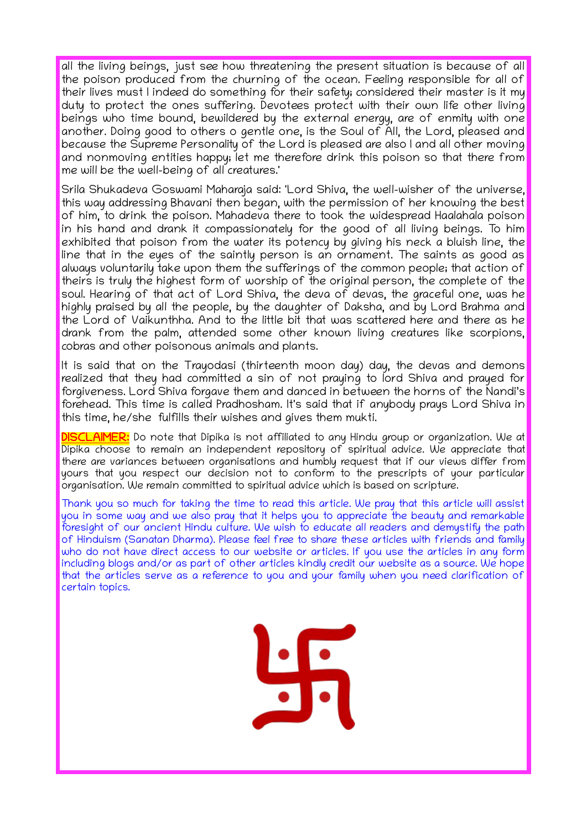all the living beings, just see how threatening the present situation is because of all the poison produced from the churning of the ocean. Feeling responsible for all of their lives must I indeed do something for their safety; considered their master is it my duty to protect the ones suffering. Devotees protect with their own life other living beings who time bound, bewildered by the external energy, are of enmity with one another. Doing good to others o gentle one, is the Soul of All, the Lord, pleased and because the Supreme Personality of the Lord is pleased are also I and all other moving and nonmoving entities happy; let me therefore drink this poison so that there from me will be the well-being of all creatures.'

Srila Shukadeva Goswami Maharaja said: 'Lord Shiva, the well-wisher of the universe, this way addressing Bhavani then began, with the permission of her knowing the best of him, to drink the poison. Mahadeva there to took the widespread Haalahala poison in his hand and drank it compassionately for the good of all living beings. To him exhibited that poison from the water its potency by giving his neck a bluish line, the line that in the eyes of the saintly person is an ornament. The saints as good as always voluntarily take upon them the sufferings of the common people; that action of theirs is truly the highest form of worship of the original person, the complete of the soul. Hearing of that act of Lord Shiva, the deva of devas, the graceful one, was he highly praised by all the people, by the daughter of Daksha, and by Lord Brahma and the Lord of Vaikunthha. And to the little bit that was scattered here and there as he drank from the palm, attended some other known living creatures like scorpions, cobras and other poisonous animals and plants.

It is said that on the Trayodasi (thirteenth moon day) day, the devas and demons realized that they had committed a sin of not praying to lord Shiva and prayed for forgiveness. Lord Shiva forgave them and danced in between the horns of the Nandi's forehead. This time is called Pradhosham. It's said that if anybody prays Lord Shiva in this time, he/she fulfills their wishes and gives them mukti.

DISCLAIMER: Do note that Dipika is not affiliated to any Hindu group or organization. We at Dipika choose to remain an independent repository of spiritual advice. We appreciate that there are variances between organisations and humbly request that if our views differ from yours that you respect our decision not to conform to the prescripts of your particular organisation. We remain committed to spiritual advice which is based on scripture.

Thank you so much for taking the time to read this article. We pray that this article will assist you in some way and we also pray that it helps you to appreciate the beauty and remarkable foresight of our ancient Hindu culture. We wish to educate all readers and demystify the path of Hinduism (Sanatan Dharma). Please feel free to share these articles with friends and family who do not have direct access to our website or articles. If you use the articles in any form including blogs and/or as part of other articles kindly credit our website as a source. We hope that the articles serve as a reference to you and your family when you need clarification of certain topics.